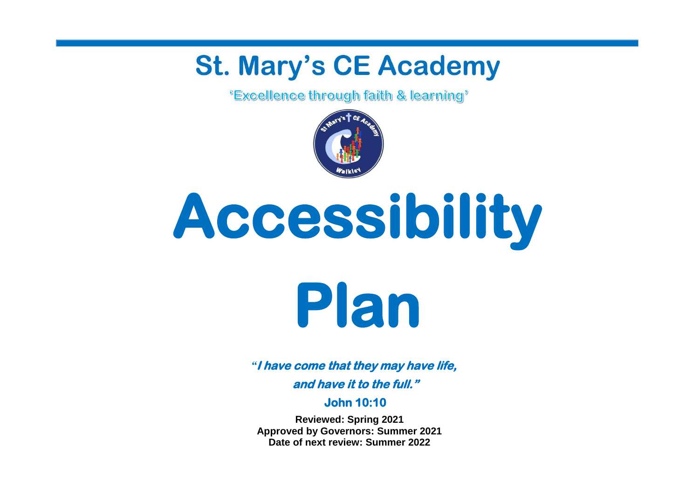## **St. Mary's CE Academy**

*<u>'Excellence through faith & learning'*</u>



# **Accessibility**



*"***I have come that they may have life, and have it to the full."** 

**John 10:10** 

**Reviewed: Spring 2021 Approved by Governors: Summer 2021 Date of next review: Summer 2022**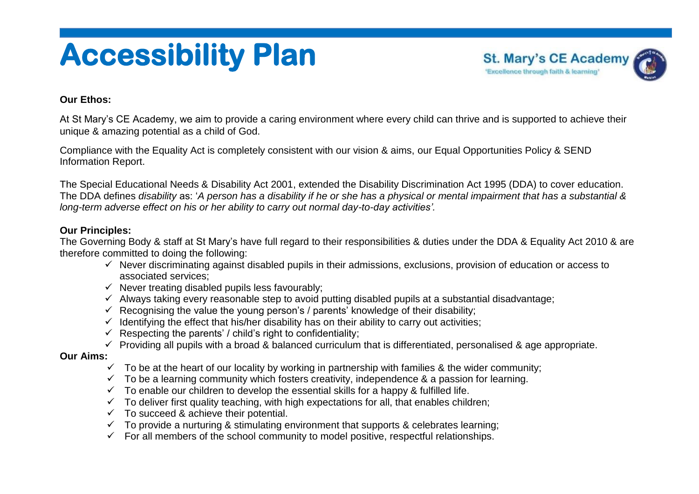## **Accessibility Plan**



#### **Our Ethos:**

At St Mary's CE Academy, we aim to provide a caring environment where every child can thrive and is supported to achieve their unique & amazing potential as a child of God.

Compliance with the Equality Act is completely consistent with our vision & aims, our Equal Opportunities Policy & SEND Information Report.

The Special Educational Needs & Disability Act 2001, extended the Disability Discrimination Act 1995 (DDA) to cover education. The DDA defines *disability* as: '*A person has a disability if he or she has a physical or mental impairment that has a substantial & long-term adverse effect on his or her ability to carry out normal day-to-day activities'.*

#### **Our Principles:**

The Governing Body & staff at St Mary's have full regard to their responsibilities & duties under the DDA & Equality Act 2010 & are therefore committed to doing the following:

- $\checkmark$  Never discriminating against disabled pupils in their admissions, exclusions, provision of education or access to associated services;
- $\checkmark$  Never treating disabled pupils less favourably;
- $\checkmark$  Always taking every reasonable step to avoid putting disabled pupils at a substantial disadvantage:
- $\checkmark$  Recognising the value the young person's / parents' knowledge of their disability;
- $\checkmark$  Identifying the effect that his/her disability has on their ability to carry out activities;
- $\checkmark$  Respecting the parents' / child's right to confidentiality;
- $\checkmark$  Providing all pupils with a broad & balanced curriculum that is differentiated, personalised & age appropriate.

#### **Our Aims:**

- $\checkmark$  To be at the heart of our locality by working in partnership with families & the wider community;
- $\checkmark$  To be a learning community which fosters creativity, independence & a passion for learning.
- $\checkmark$  To enable our children to develop the essential skills for a happy & fulfilled life.
- $\checkmark$  To deliver first quality teaching, with high expectations for all, that enables children;
- $\checkmark$  To succeed & achieve their potential.
- $\checkmark$  To provide a nurturing & stimulating environment that supports & celebrates learning;
- $\checkmark$  For all members of the school community to model positive, respectful relationships.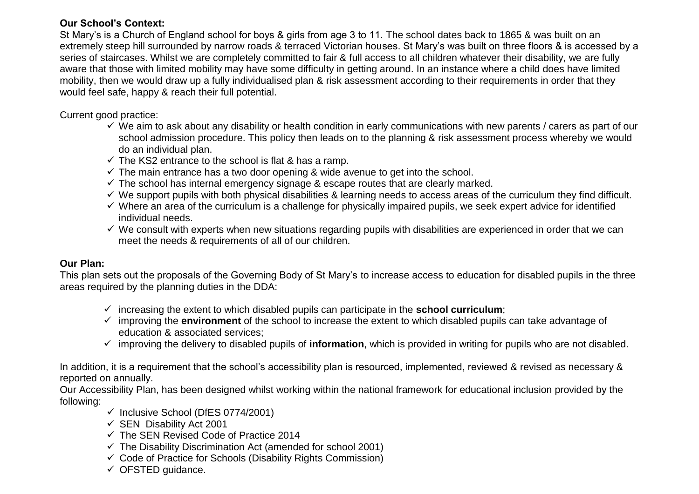#### **Our School's Context:**

St Mary's is a Church of England school for boys & girls from age 3 to 11. The school dates back to 1865 & was built on an extremely steep hill surrounded by narrow roads & terraced Victorian houses. St Mary's was built on three floors & is accessed by a series of staircases. Whilst we are completely committed to fair & full access to all children whatever their disability, we are fully aware that those with limited mobility may have some difficulty in getting around. In an instance where a child does have limited mobility, then we would draw up a fully individualised plan & risk assessment according to their requirements in order that they would feel safe, happy & reach their full potential.

#### Current good practice:

- $\checkmark$  We aim to ask about any disability or health condition in early communications with new parents / carers as part of our school admission procedure. This policy then leads on to the planning & risk assessment process whereby we would do an individual plan.
- $\checkmark$  The KS2 entrance to the school is flat & has a ramp.
- $\checkmark$  The main entrance has a two door opening & wide avenue to get into the school.
- $\checkmark$  The school has internal emergency signage & escape routes that are clearly marked.
- $\checkmark$  We support pupils with both physical disabilities & learning needs to access areas of the curriculum they find difficult.
- $\checkmark$  Where an area of the curriculum is a challenge for physically impaired pupils, we seek expert advice for identified individual needs.
- $\checkmark$  We consult with experts when new situations regarding pupils with disabilities are experienced in order that we can meet the needs & requirements of all of our children.

#### **Our Plan:**

This plan sets out the proposals of the Governing Body of St Mary's to increase access to education for disabled pupils in the three areas required by the planning duties in the DDA:

- $\checkmark$  increasing the extent to which disabled pupils can participate in the **school curriculum**;
- improving the **environment** of the school to increase the extent to which disabled pupils can take advantage of education & associated services;
- improving the delivery to disabled pupils of **information**, which is provided in writing for pupils who are not disabled.

In addition, it is a requirement that the school's accessibility plan is resourced, implemented, reviewed & revised as necessary & reported on annually.

Our Accessibility Plan, has been designed whilst working within the national framework for educational inclusion provided by the following:

- $\checkmark$  Inclusive School (DfES 0774/2001)
- $\checkmark$  SEN Disability Act 2001
- $\checkmark$  The SFN Revised Code of Practice 2014
- $\checkmark$  The Disability Discrimination Act (amended for school 2001)
- $\checkmark$  Code of Practice for Schools (Disability Rights Commission)
- $\checkmark$  OFSTED guidance.